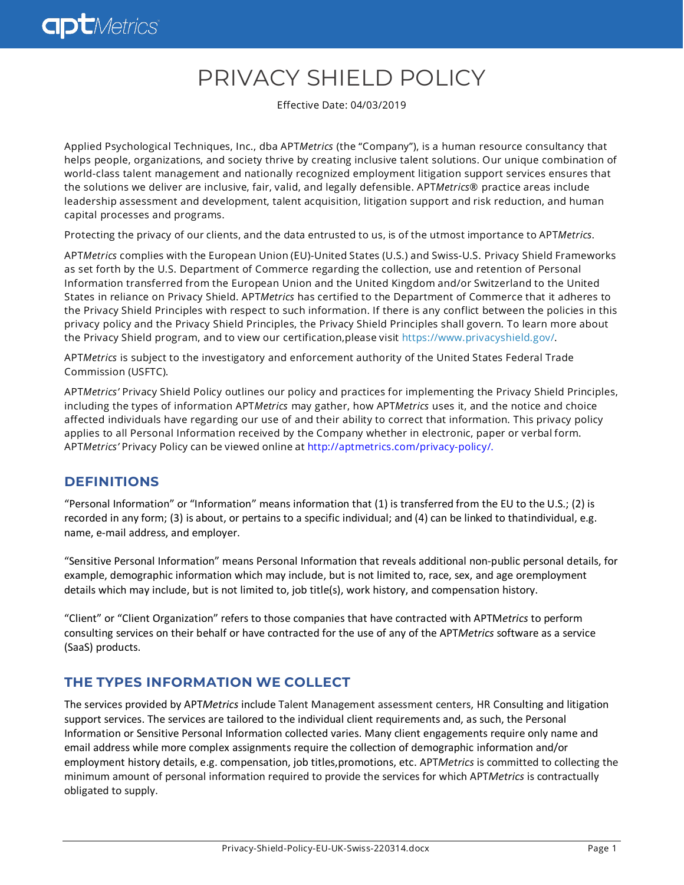# PRIVACY SHIELD POLICY

Effective Date: 04/03/2019

Applied Psychological Techniques, Inc., dba APT*Metrics* (the "Company"), is a human resource consultancy that helps people, organizations, and society thrive by creating inclusive talent solutions. Our unique combination of world-class talent management and nationally recognized employment litigation support services ensures that the solutions we deliver are inclusive, fair, valid, and legally defensible. APT*Metrics*® practice areas include leadership assessment and development, talent acquisition, litigation support and risk reduction, and human capital processes and programs.

Protecting the privacy of our clients, and the data entrusted to us, is of the utmost importance to APT*Metrics*.

APT*Metrics* complies with the European Union (EU)-United States (U.S.) and Swiss-U.S. Privacy Shield Frameworks as set forth by the U.S. Department of Commerce regarding the collection, use and retention of Personal Information transferred from the European Union and the United Kingdom and/or Switzerland to the United States in reliance on Privacy Shield. APT*Metrics* has certified to the Department of Commerce that it adheres to the Privacy Shield Principles with respect to such information. If there is any conflict between the policies in this privacy policy and the Privacy Shield Principles, the Privacy Shield Principles shall govern. To learn more about the Privacy Shield program, and to view our certification,please visit [https://www.privacyshield.gov/.](https://www.privacyshield.gov/welcome)

APT*Metrics* is subject to the investigatory and enforcement authority of the United States Federal Trade Commission (USFTC).

APT*Metrics'* Privacy Shield Policy outlines our policy and practices for implementing the Privacy Shield Principles, including the types of information APT*Metrics* may gather, how APT*Metrics* uses it, and the notice and choice affected individuals have regarding our use of and their ability to correct that information. This privacy policy applies to all Personal Information received by the Company whether in electronic, paper or verbal form. APT*Metrics'* Privacy Policy can be viewed online at [http://aptmetrics.com/privacy-policy/.](http://aptmetrics.com/privacy-policy/)

## **DEFINITIONS**

"Personal Information" or "Information" means information that (1) is transferred from the EU to the U.S.; (2) is recorded in any form; (3) is about, or pertains to a specific individual; and (4) can be linked to thatindividual, e.g. name, e-mail address, and employer.

"Sensitive Personal Information" means Personal Information that reveals additional non-public personal details, for example, demographic information which may include, but is not limited to, race, sex, and age oremployment details which may include, but is not limited to, job title(s), work history, and compensation history.

"Client" or "Client Organization" refers to those companies that have contracted with APTM*etrics* to perform consulting services on their behalf or have contracted for the use of any of the APT*Metrics* software as a service (SaaS) products.

## **THE TYPES INFORMATION WE COLLECT**

The services provided by APT*Metrics* include Talent Management assessment centers, HR Consulting and litigation support services. The services are tailored to the individual client requirements and, as such, the Personal Information or Sensitive Personal Information collected varies. Many client engagements require only name and email address while more complex assignments require the collection of demographic information and/or employment history details, e.g. compensation, job titles,promotions, etc. APT*Metrics* is committed to collecting the minimum amount of personal information required to provide the services for which APT*Metrics* is contractually obligated to supply.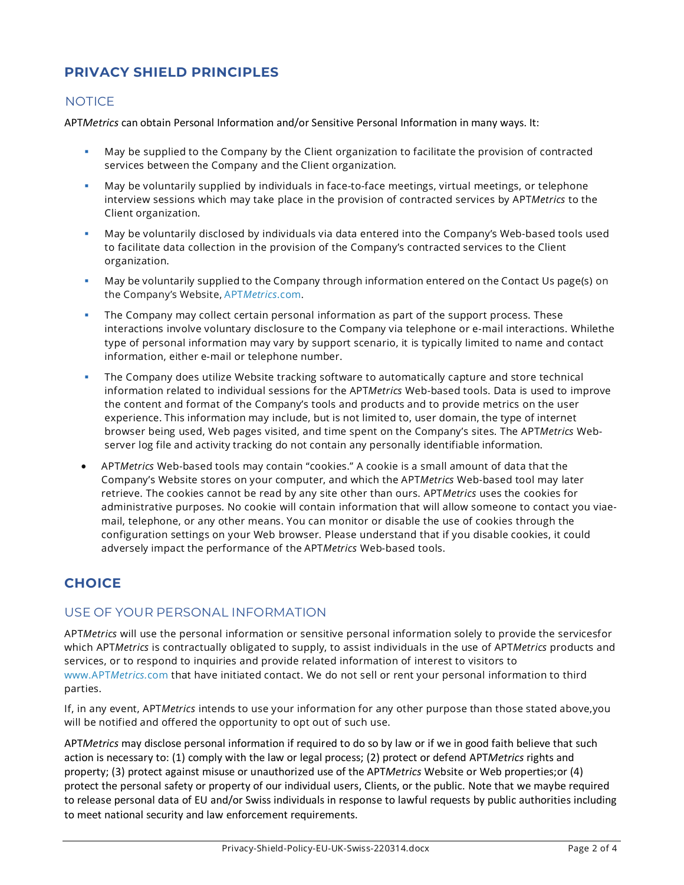## **PRIVACY SHIELD PRINCIPLES**

#### **NOTICE**

APT*Metrics* can obtain Personal Information and/or Sensitive Personal Information in many ways. It:

- May be supplied to the Company by the Client organization to facilitate the provision of contracted services between the Company and the Client organization.
- May be voluntarily supplied by individuals in face-to-face meetings, virtual meetings, or telephone interview sessions which may take place in the provision of contracted services by APT*Metrics* to the Client organization.
- May be voluntarily disclosed by individuals via data entered into the Company's Web-based tools used to facilitate data collection in the provision of the Company's contracted services to the Client organization.
- May be voluntarily supplied to the Company through information entered on the Contact Us page(s) on the Company's Website, APT*[Metrics](http://www.aptmetrics.com/)*.com.
- The Company may collect certain personal information as part of the support process. These interactions involve voluntary disclosure to the Company via telephone or e-mail interactions. Whilethe type of personal information may vary by support scenario, it is typically limited to name and contact information, either e-mail or telephone number.
- The Company does utilize Website tracking software to automatically capture and store technical information related to individual sessions for the APT*Metrics* Web-based tools. Data is used to improve the content and format of the Company's tools and products and to provide metrics on the user experience. This information may include, but is not limited to, user domain, the type of internet browser being used, Web pages visited, and time spent on the Company's sites. The APT*Metrics* Webserver log file and activity tracking do not contain any personally identifiable information.
- APT*Metrics* Web-based tools may contain "cookies." A cookie is a small amount of data that the Company's Website stores on your computer, and which the APT*Metrics* Web-based tool may later retrieve. The cookies cannot be read by any site other than ours. APT*Metrics* uses the cookies for administrative purposes. No cookie will contain information that will allow someone to contact you viaemail, telephone, or any other means. You can monitor or disable the use of cookies through the configuration settings on your Web browser. Please understand that if you disable cookies, it could adversely impact the performance of the APT*Metrics* Web-based tools.

## **CHOICE**

#### USE OF YOUR PERSONAL INFORMATION

APT*Metrics* will use the personal information or sensitive personal information solely to provide the servicesfor which APT*Metrics* is contractually obligated to supply, to assist individuals in the use of APT*Metrics* products and services, or to respond to inquiries and provide related information of interest to visitors to [www.APT](http://www.aptmetrics.com/)*Metrics.*com that have initiated contact. We do not sell or rent your personal information to third parties.

If, in any event, APT*Metrics* intends to use your information for any other purpose than those stated above,you will be notified and offered the opportunity to opt out of such use.

APT*Metrics* may disclose personal information if required to do so by law or if we in good faith believe that such action is necessary to: (1) comply with the law or legal process; (2) protect or defend APT*Metrics* rights and property; (3) protect against misuse or unauthorized use of the APT*Metrics* Website or Web properties;or (4) protect the personal safety or property of our individual users, Clients, or the public. Note that we maybe required to release personal data of EU and/or Swiss individuals in response to lawful requests by public authorities including to meet national security and law enforcement requirements.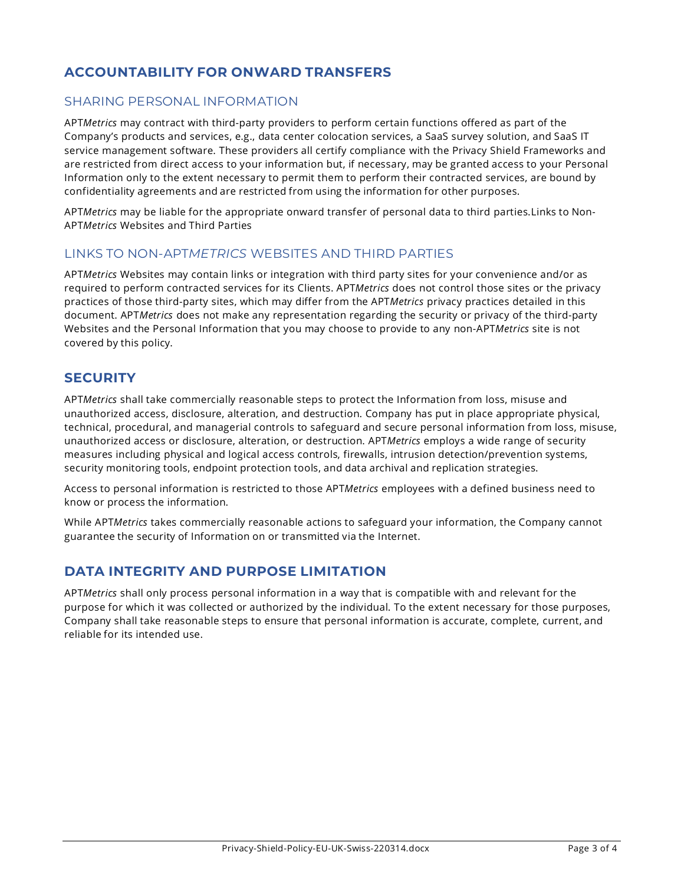## **ACCOUNTABILITY FOR ONWARD TRANSFERS**

#### SHARING PERSONAL INFORMATION

APT*Metrics* may contract with third-party providers to perform certain functions offered as part of the Company's products and services, e.g., data center colocation services, a SaaS survey solution, and SaaS IT service management software. These providers all certify compliance with the Privacy Shield Frameworks and are restricted from direct access to your information but, if necessary, may be granted access to your Personal Information only to the extent necessary to permit them to perform their contracted services, are bound by confidentiality agreements and are restricted from using the information for other purposes.

APT*Metrics* may be liable for the appropriate onward transfer of personal data to third parties.Links to Non-APT*Metrics* Websites and Third Parties

#### LINKS TO NON-APT*METRICS* WEBSITES AND THIRD PARTIES

APT*Metrics* Websites may contain links or integration with third party sites for your convenience and/or as required to perform contracted services for its Clients. APT*Metrics* does not control those sites or the privacy practices of those third-party sites, which may differ from the APT*Metrics* privacy practices detailed in this document. APT*Metrics* does not make any representation regarding the security or privacy of the third-party Websites and the Personal Information that you may choose to provide to any non-APT*Metrics* site is not covered by this policy.

#### **SECURITY**

APT*Metrics* shall take commercially reasonable steps to protect the Information from loss, misuse and unauthorized access, disclosure, alteration, and destruction. Company has put in place appropriate physical, technical, procedural, and managerial controls to safeguard and secure personal information from loss, misuse, unauthorized access or disclosure, alteration, or destruction. APT*Metrics* employs a wide range of security measures including physical and logical access controls, firewalls, intrusion detection/prevention systems, security monitoring tools, endpoint protection tools, and data archival and replication strategies.

Access to personal information is restricted to those APT*Metrics* employees with a defined business need to know or process the information.

While APT*Metrics* takes commercially reasonable actions to safeguard your information, the Company cannot guarantee the security of Information on or transmitted via the Internet.

#### **DATA INTEGRITY AND PURPOSE LIMITATION**

APT*Metrics* shall only process personal information in a way that is compatible with and relevant for the purpose for which it was collected or authorized by the individual. To the extent necessary for those purposes, Company shall take reasonable steps to ensure that personal information is accurate, complete, current, and reliable for its intended use.